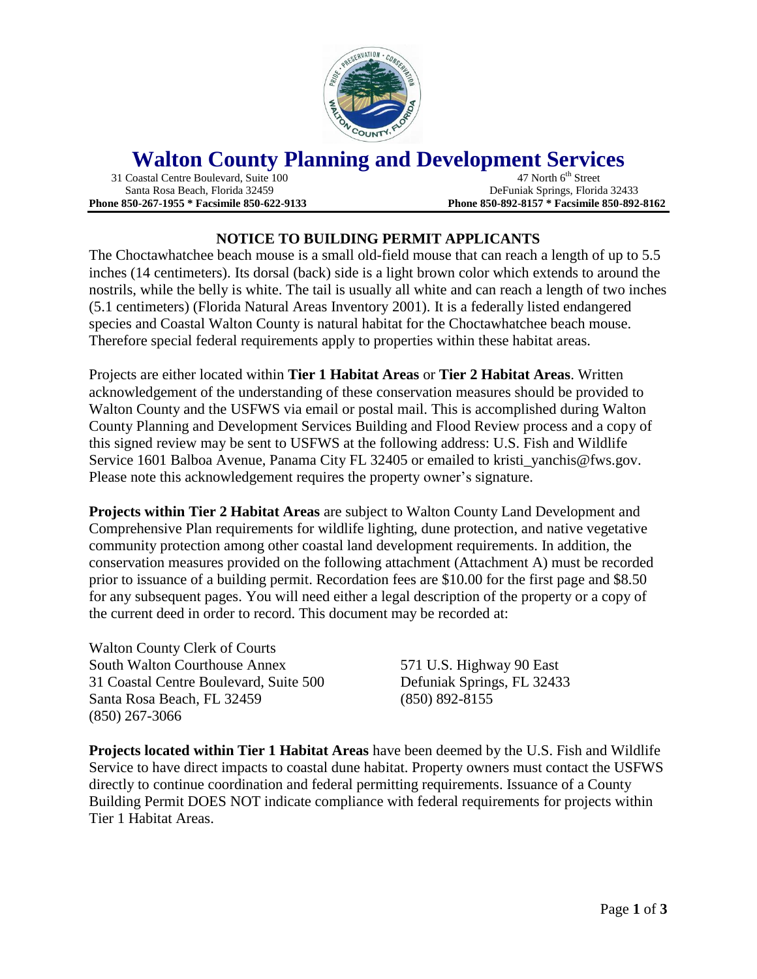

## **Walton County Planning and Development Services**<br>Coastal Centre Boulevard, Suite 100<br>47 North 6<sup>th</sup> Street

31 Coastal Centre Boulevard, Suite 100

 Santa Rosa Beach, Florida 32459 DeFuniak Springs, Florida 32433 **Phone 850-267-1955 \* Facsimile 850-622-9133 Phone 850-892-8157 \* Facsimile 850-892-8162**

## **NOTICE TO BUILDING PERMIT APPLICANTS**

The Choctawhatchee beach mouse is a small old-field mouse that can reach a length of up to 5.5 inches (14 centimeters). Its dorsal (back) side is a light brown color which extends to around the nostrils, while the belly is white. The tail is usually all white and can reach a length of two inches (5.1 centimeters) (Florida Natural Areas Inventory 2001). It is a federally listed endangered species and Coastal Walton County is natural habitat for the Choctawhatchee beach mouse. Therefore special federal requirements apply to properties within these habitat areas.

Projects are either located within **Tier 1 Habitat Areas** or **Tier 2 Habitat Areas**. Written acknowledgement of the understanding of these conservation measures should be provided to Walton County and the USFWS via email or postal mail. This is accomplished during Walton County Planning and Development Services Building and Flood Review process and a copy of this signed review may be sent to USFWS at the following address: U.S. Fish and Wildlife Service 1601 Balboa Avenue, Panama City FL 32405 or emailed to kristi\_yanchis@fws.gov. Please note this acknowledgement requires the property owner's signature.

**Projects within Tier 2 Habitat Areas** are subject to Walton County Land Development and Comprehensive Plan requirements for wildlife lighting, dune protection, and native vegetative community protection among other coastal land development requirements. In addition, the conservation measures provided on the following attachment (Attachment A) must be recorded prior to issuance of a building permit. Recordation fees are \$10.00 for the first page and \$8.50 for any subsequent pages. You will need either a legal description of the property or a copy of the current deed in order to record. This document may be recorded at:

Walton County Clerk of Courts South Walton Courthouse Annex 571 U.S. Highway 90 East 31 Coastal Centre Boulevard, Suite 500 Defuniak Springs, FL 32433 Santa Rosa Beach, FL 32459 (850) 892-8155 (850) 267-3066

**Projects located within Tier 1 Habitat Areas** have been deemed by the U.S. Fish and Wildlife Service to have direct impacts to coastal dune habitat. Property owners must contact the USFWS directly to continue coordination and federal permitting requirements. Issuance of a County Building Permit DOES NOT indicate compliance with federal requirements for projects within Tier 1 Habitat Areas.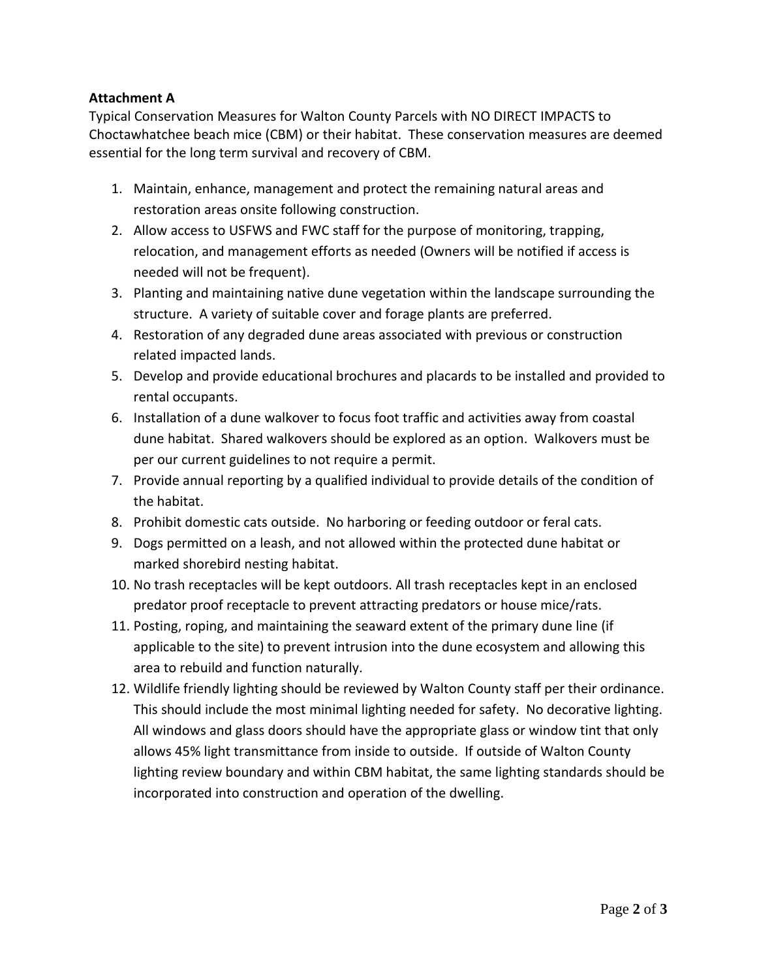## **Attachment A**

Typical Conservation Measures for Walton County Parcels with NO DIRECT IMPACTS to Choctawhatchee beach mice (CBM) or their habitat. These conservation measures are deemed essential for the long term survival and recovery of CBM.

- 1. Maintain, enhance, management and protect the remaining natural areas and restoration areas onsite following construction.
- 2. Allow access to USFWS and FWC staff for the purpose of monitoring, trapping, relocation, and management efforts as needed (Owners will be notified if access is needed will not be frequent).
- 3. Planting and maintaining native dune vegetation within the landscape surrounding the structure. A variety of suitable cover and forage plants are preferred.
- 4. Restoration of any degraded dune areas associated with previous or construction related impacted lands.
- 5. Develop and provide educational brochures and placards to be installed and provided to rental occupants.
- 6. Installation of a dune walkover to focus foot traffic and activities away from coastal dune habitat. Shared walkovers should be explored as an option. Walkovers must be per our current guidelines to not require a permit.
- 7. Provide annual reporting by a qualified individual to provide details of the condition of the habitat.
- 8. Prohibit domestic cats outside. No harboring or feeding outdoor or feral cats.
- 9. Dogs permitted on a leash, and not allowed within the protected dune habitat or marked shorebird nesting habitat.
- 10. No trash receptacles will be kept outdoors. All trash receptacles kept in an enclosed predator proof receptacle to prevent attracting predators or house mice/rats.
- 11. Posting, roping, and maintaining the seaward extent of the primary dune line (if applicable to the site) to prevent intrusion into the dune ecosystem and allowing this area to rebuild and function naturally.
- 12. Wildlife friendly lighting should be reviewed by Walton County staff per their ordinance. This should include the most minimal lighting needed for safety. No decorative lighting. All windows and glass doors should have the appropriate glass or window tint that only allows 45% light transmittance from inside to outside. If outside of Walton County lighting review boundary and within CBM habitat, the same lighting standards should be incorporated into construction and operation of the dwelling.